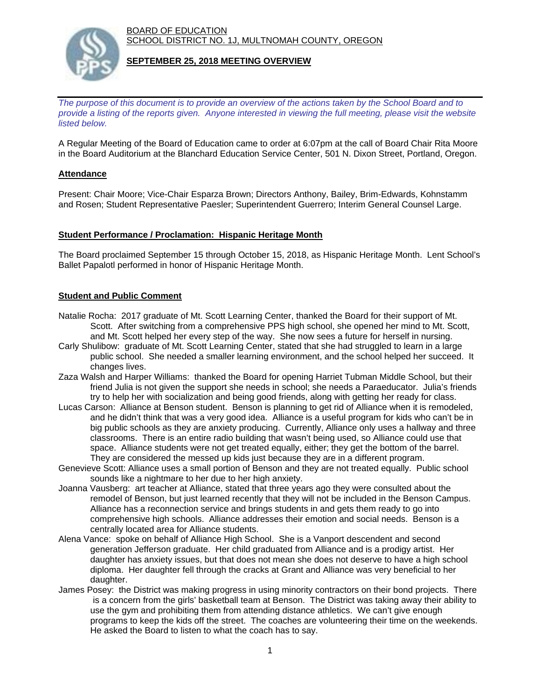BOARD OF EDUCATION SCHOOL DISTRICT NO. 1J, MULTNOMAH COUNTY, OREGON



## **SEPTEMBER 25, 2018 MEETING OVERVIEW**

*The purpose of this document is to provide an overview of the actions taken by the School Board and to provide a listing of the reports given. Anyone interested in viewing the full meeting, please visit the website listed below.*

A Regular Meeting of the Board of Education came to order at 6:07pm at the call of Board Chair Rita Moore in the Board Auditorium at the Blanchard Education Service Center, 501 N. Dixon Street, Portland, Oregon.

## **Attendance**

Present: Chair Moore; Vice-Chair Esparza Brown; Directors Anthony, Bailey, Brim-Edwards, Kohnstamm and Rosen; Student Representative Paesler; Superintendent Guerrero; Interim General Counsel Large.

#### **Student Performance / Proclamation: Hispanic Heritage Month**

The Board proclaimed September 15 through October 15, 2018, as Hispanic Heritage Month. Lent School's Ballet Papalotl performed in honor of Hispanic Heritage Month.

## **Student and Public Comment**

- Natalie Rocha: 2017 graduate of Mt. Scott Learning Center, thanked the Board for their support of Mt. Scott. After switching from a comprehensive PPS high school, she opened her mind to Mt. Scott, and Mt. Scott helped her every step of the way. She now sees a future for herself in nursing.
- Carly Shulibow: graduate of Mt. Scott Learning Center, stated that she had struggled to learn in a large public school. She needed a smaller learning environment, and the school helped her succeed. It changes lives.
- Zaza Walsh and Harper Williams: thanked the Board for opening Harriet Tubman Middle School, but their friend Julia is not given the support she needs in school; she needs a Paraeducator. Julia's friends try to help her with socialization and being good friends, along with getting her ready for class.
- Lucas Carson: Alliance at Benson student. Benson is planning to get rid of Alliance when it is remodeled, and he didn't think that was a very good idea. Alliance is a useful program for kids who can't be in big public schools as they are anxiety producing. Currently, Alliance only uses a hallway and three classrooms. There is an entire radio building that wasn't being used, so Alliance could use that space. Alliance students were not get treated equally, either; they get the bottom of the barrel.
- They are considered the messed up kids just because they are in a different program. Genevieve Scott: Alliance uses a small portion of Benson and they are not treated equally. Public school sounds like a nightmare to her due to her high anxiety.
- Joanna Vausberg: art teacher at Alliance, stated that three years ago they were consulted about the remodel of Benson, but just learned recently that they will not be included in the Benson Campus. Alliance has a reconnection service and brings students in and gets them ready to go into comprehensive high schools. Alliance addresses their emotion and social needs. Benson is a centrally located area for Alliance students.
- Alena Vance: spoke on behalf of Alliance High School. She is a Vanport descendent and second generation Jefferson graduate. Her child graduated from Alliance and is a prodigy artist. Her daughter has anxiety issues, but that does not mean she does not deserve to have a high school diploma. Her daughter fell through the cracks at Grant and Alliance was very beneficial to her daughter.
- James Posey: the District was making progress in using minority contractors on their bond projects. There is a concern from the girls' basketball team at Benson. The District was taking away their ability to use the gym and prohibiting them from attending distance athletics. We can't give enough programs to keep the kids off the street. The coaches are volunteering their time on the weekends. He asked the Board to listen to what the coach has to say.